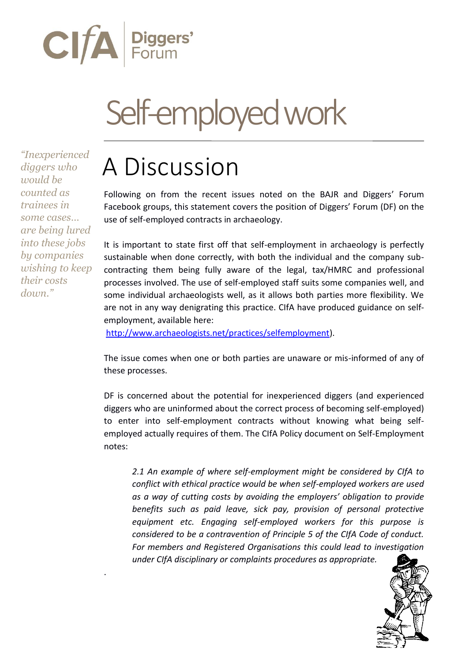

## Self-employed work

*"Inexperienced diggers who would be counted as trainees in some cases… are being lured into these jobs by companies wishing to keep their costs down."*

.

## A Discussion

Following on from the recent issues noted on the BAJR and Diggers' Forum Facebook groups, this statement covers the position of Diggers' Forum (DF) on the use of self-employed contracts in archaeology.

It is important to state first off that self-employment in archaeology is perfectly sustainable when done correctly, with both the individual and the company subcontracting them being fully aware of the legal, tax/HMRC and professional processes involved. The use of self-employed staff suits some companies well, and some individual archaeologists well, as it allows both parties more flexibility. We are not in any way denigrating this practice. CIfA have produced guidance on selfemployment, available here:

[http://www.archaeologists.net/practices/selfemployment\)](http://www.archaeologists.net/practices/selfemployment).

The issue comes when one or both parties are unaware or mis-informed of any of these processes.

DF is concerned about the potential for inexperienced diggers (and experienced diggers who are uninformed about the correct process of becoming self-employed) to enter into self-employment contracts without knowing what being selfemployed actually requires of them. The CIfA Policy document on Self-Employment notes:

*2.1 An example of where self-employment might be considered by CIfA to conflict with ethical practice would be when self-employed workers are used as a way of cutting costs by avoiding the employers' obligation to provide benefits such as paid leave, sick pay, provision of personal protective equipment etc. Engaging self-employed workers for this purpose is considered to be a contravention of Principle 5 of the CIfA Code of conduct. For members and Registered Organisations this could lead to investigation under CIfA disciplinary or complaints procedures as appropriate.*

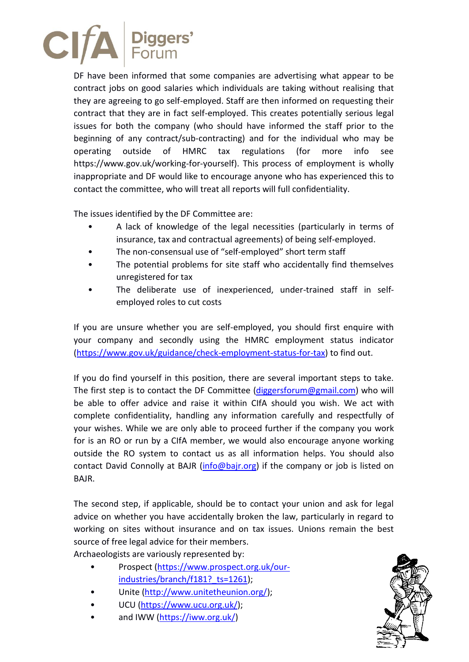

DF have been informed that some companies are advertising what appear to be contract jobs on good salaries which individuals are taking without realising that they are agreeing to go self-employed. Staff are then informed on requesting their contract that they are in fact self-employed. This creates potentially serious legal issues for both the company (who should have informed the staff prior to the beginning of any contract/sub-contracting) and for the individual who may be operating outside of HMRC tax regulations (for more info see https://www.gov.uk/working-for-yourself). This process of employment is wholly inappropriate and DF would like to encourage anyone who has experienced this to contact the committee, who will treat all reports will full confidentiality.

The issues identified by the DF Committee are:

- A lack of knowledge of the legal necessities (particularly in terms of insurance, tax and contractual agreements) of being self-employed.
- The non-consensual use of "self-employed" short term staff
- The potential problems for site staff who accidentally find themselves unregistered for tax
- The deliberate use of inexperienced, under-trained staff in selfemployed roles to cut costs

If you are unsure whether you are self-employed, you should first enquire with your company and secondly using the HMRC employment status indicator [\(https://www.gov.uk/guidance/check-employment-status-for-tax\)](https://www.gov.uk/guidance/check-employment-status-for-tax) to find out.

If you do find yourself in this position, there are several important steps to take. The first step is to contact the DF Committee [\(diggersforum@gmail.com\)](mailto:diggersforum@gmail.com) who will be able to offer advice and raise it within CIfA should you wish. We act with complete confidentiality, handling any information carefully and respectfully of your wishes. While we are only able to proceed further if the company you work for is an RO or run by a CIfA member, we would also encourage anyone working outside the RO system to contact us as all information helps. You should also contact David Connolly at BAJR (info@bajr.org) if the company or job is listed on BAJR.

The second step, if applicable, should be to contact your union and ask for legal advice on whether you have accidentally broken the law, particularly in regard to working on sites without insurance and on tax issues. Unions remain the best source of free legal advice for their members.

Archaeologists are variously represented by:

- Prospect [\(https://www.prospect.org.uk/our](https://www.prospect.org.uk/our-industries/branch/f181?_ts=1261)industries/branch/f181? ts=1261);
- Unite [\(http://www.unitetheunion.org/\)](http://www.unitetheunion.org/);
- UCU [\(https://www.ucu.org.uk/\)](https://www.ucu.org.uk/);
- and IWW [\(https://iww.org.uk/\)](https://iww.org.uk/)